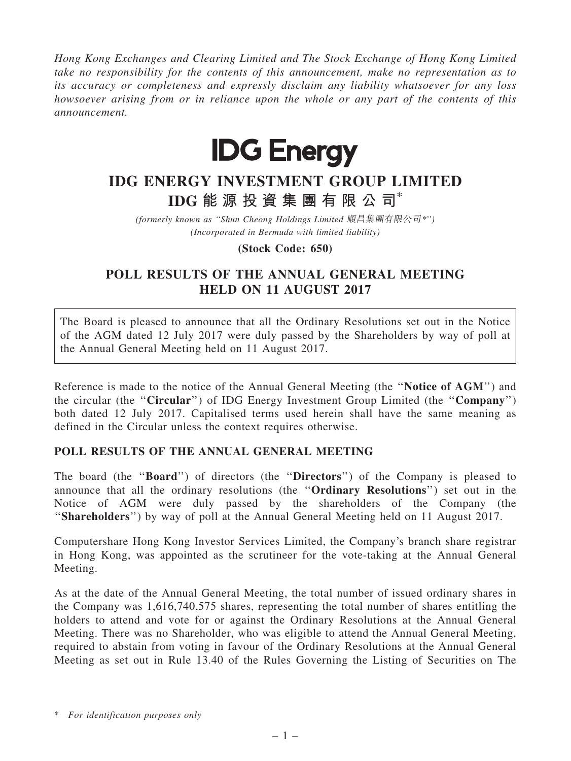Hong Kong Exchanges and Clearing Limited and The Stock Exchange of Hong Kong Limited take no responsibility for the contents of this announcement, make no representation as to its accuracy or completeness and expressly disclaim any liability whatsoever for any loss howsoever arising from or in reliance upon the whole or any part of the contents of this announcement.



## IDG ENERGY INVESTMENT GROUP LIMITED IDG 能 源 投 資 集 團 有 限 公 司\*

(formerly known as ''Shun Cheong Holdings Limited 順昌集團有限公司\*'') (Incorporated in Bermuda with limited liability)

(Stock Code: 650)

## POLL RESULTS OF THE ANNUAL GENERAL MEETING HELD ON 11 AUGUST 2017

The Board is pleased to announce that all the Ordinary Resolutions set out in the Notice of the AGM dated 12 July 2017 were duly passed by the Shareholders by way of poll at the Annual General Meeting held on 11 August 2017.

Reference is made to the notice of the Annual General Meeting (the ''Notice of AGM'') and the circular (the ''Circular'') of IDG Energy Investment Group Limited (the ''Company'') both dated 12 July 2017. Capitalised terms used herein shall have the same meaning as defined in the Circular unless the context requires otherwise.

## POLL RESULTS OF THE ANNUAL GENERAL MEETING

The board (the ''Board'') of directors (the ''Directors'') of the Company is pleased to announce that all the ordinary resolutions (the ''Ordinary Resolutions'') set out in the Notice of AGM were duly passed by the shareholders of the Company (the "Shareholders") by way of poll at the Annual General Meeting held on 11 August 2017.

Computershare Hong Kong Investor Services Limited, the Company's branch share registrar in Hong Kong, was appointed as the scrutineer for the vote-taking at the Annual General Meeting.

As at the date of the Annual General Meeting, the total number of issued ordinary shares in the Company was 1,616,740,575 shares, representing the total number of shares entitling the holders to attend and vote for or against the Ordinary Resolutions at the Annual General Meeting. There was no Shareholder, who was eligible to attend the Annual General Meeting, required to abstain from voting in favour of the Ordinary Resolutions at the Annual General Meeting as set out in Rule 13.40 of the Rules Governing the Listing of Securities on The

<sup>\*</sup> For identification purposes only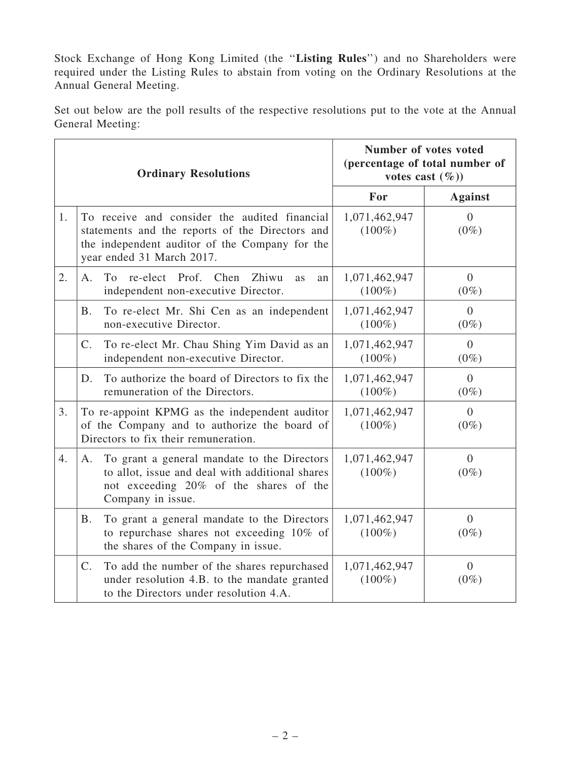Stock Exchange of Hong Kong Limited (the ''Listing Rules'') and no Shareholders were required under the Listing Rules to abstain from voting on the Ordinary Resolutions at the Annual General Meeting.

Set out below are the poll results of the respective resolutions put to the vote at the Annual General Meeting:

| <b>Ordinary Resolutions</b> |                                                                                                                                                                                 | Number of votes voted<br>(percentage of total number of<br>votes cast $(\%)$ |                           |
|-----------------------------|---------------------------------------------------------------------------------------------------------------------------------------------------------------------------------|------------------------------------------------------------------------------|---------------------------|
|                             |                                                                                                                                                                                 | For                                                                          | <b>Against</b>            |
| 1.                          | To receive and consider the audited financial<br>statements and the reports of the Directors and<br>the independent auditor of the Company for the<br>year ended 31 March 2017. | 1,071,462,947<br>$(100\%)$                                                   | $\theta$<br>$(0\%)$       |
| 2.                          | To<br>re-elect Prof. Chen<br>Zhiwu<br>$A_{-}$<br><b>as</b><br>an<br>independent non-executive Director.                                                                         | 1,071,462,947<br>$(100\%)$                                                   | $\Omega$<br>$(0\%)$       |
|                             | To re-elect Mr. Shi Cen as an independent<br><b>B.</b><br>non-executive Director.                                                                                               | 1,071,462,947<br>$(100\%)$                                                   | $\Omega$<br>$(0\%)$       |
|                             | To re-elect Mr. Chau Shing Yim David as an<br>$\mathcal{C}$ .<br>independent non-executive Director.                                                                            | 1,071,462,947<br>$(100\%)$                                                   | $\overline{0}$<br>$(0\%)$ |
|                             | To authorize the board of Directors to fix the<br>D.<br>remuneration of the Directors.                                                                                          | 1,071,462,947<br>$(100\%)$                                                   | $\theta$<br>$(0\%)$       |
| 3.                          | To re-appoint KPMG as the independent auditor<br>of the Company and to authorize the board of<br>Directors to fix their remuneration.                                           | 1,071,462,947<br>$(100\%)$                                                   | $\overline{0}$<br>$(0\%)$ |
| 4.                          | To grant a general mandate to the Directors<br>A.<br>to allot, issue and deal with additional shares<br>not exceeding 20% of the shares of the<br>Company in issue.             | 1,071,462,947<br>$(100\%)$                                                   | $\overline{0}$<br>$(0\%)$ |
|                             | To grant a general mandate to the Directors<br>B.<br>to repurchase shares not exceeding 10% of<br>the shares of the Company in issue.                                           | 1,071,462,947<br>$(100\%)$                                                   | $\overline{0}$<br>$(0\%)$ |
|                             | To add the number of the shares repurchased<br>$\mathcal{C}$ .<br>under resolution 4.B. to the mandate granted<br>to the Directors under resolution 4.A.                        | 1,071,462,947<br>$(100\%)$                                                   | $\overline{0}$<br>$(0\%)$ |